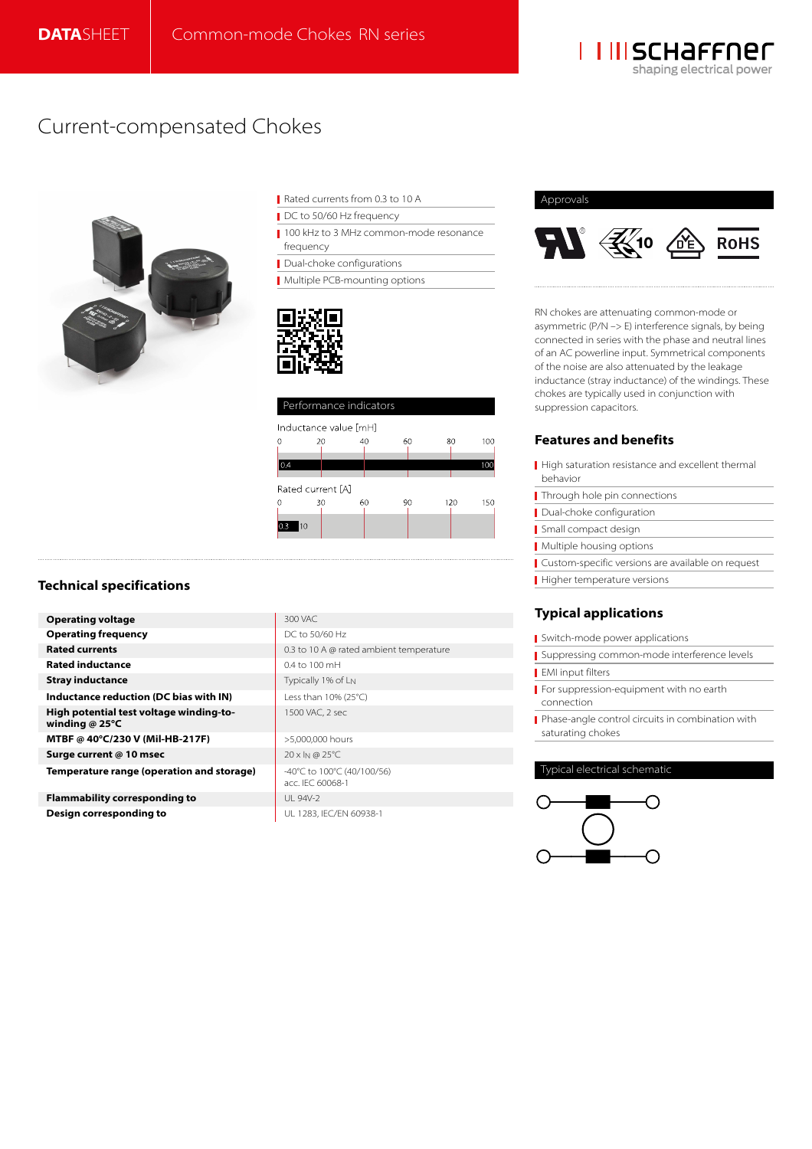

# Current-compensated Chokes



Rated currents from 0.3 to 10 A

DC to 50/60 Hz frequency

100 kHz to 3 MHz common-mode resonance frequency

Dual-choke configurations

**Multiple PCB-mounting options** 



| Performance indicators |    |    |    |     |            |  |  |  |  |
|------------------------|----|----|----|-----|------------|--|--|--|--|
| Inductance value [mH]  |    |    |    |     |            |  |  |  |  |
| 0                      | 20 | 40 | 60 | 80  | 100        |  |  |  |  |
| 0.4                    |    |    |    |     | <b>10C</b> |  |  |  |  |
|                        |    |    |    |     |            |  |  |  |  |
| Rated current [A]      |    |    |    |     |            |  |  |  |  |
| $\theta$               | 30 | 60 | 90 | 120 | 150        |  |  |  |  |
| 10<br>l0.3             |    |    |    |     |            |  |  |  |  |
|                        |    |    |    |     |            |  |  |  |  |

# **Technical specifications**

**Operating voltage 1999 300 VAC Operating frequency** DC to 50/60 Hz **Rated currents** 0.3 to 10 A @ rated ambient temperature **Rated inductance 1.4 to 100 mH Stray inductance Typically 1% of L<sub>N</sub> Inductance reduction (DC bias with IN)** Less than 10% (25°C) **High potential test voltage winding-towinding @ 25°C MTBF @ 40°C/230 V (Mil-HB-217F)** >5,000,000 hours **Surge current @ 10 msec 20 x IN @ 25°C Temperature range (operation and storage)**  $\cdot$  -40°C to 100°C (40/100/56)

**Flammability corresponding to** UL 94V-2 **Design corresponding to** UL 1283, IEC/EN 60938-1

1500 VAC, 2 sec

acc. IEC 60068-1



RN chokes are attenuating common-mode or asymmetric (P/N –> E) interference signals, by being connected in series with the phase and neutral lines of an AC powerline input. Symmetrical components of the noise are also attenuated by the leakage inductance (stray inductance) of the windings. These chokes are typically used in conjunction with suppression capacitors.

# **Features and benefits**

- High saturation resistance and excellent thermal behavior **Through hole pin connections** Dual-choke configuration
- Small compact design
- **Multiple housing options**
- Custom-specific versions are available on request
- Higher temperature versions

# **Typical applications**

Switch-mode power applications

- Suppressing common-mode interference levels
- **EMI** input filters
- For suppression-equipment with no earth connection
- Phase-angle control circuits in combination with saturating chokes

## Typical electrical schematic

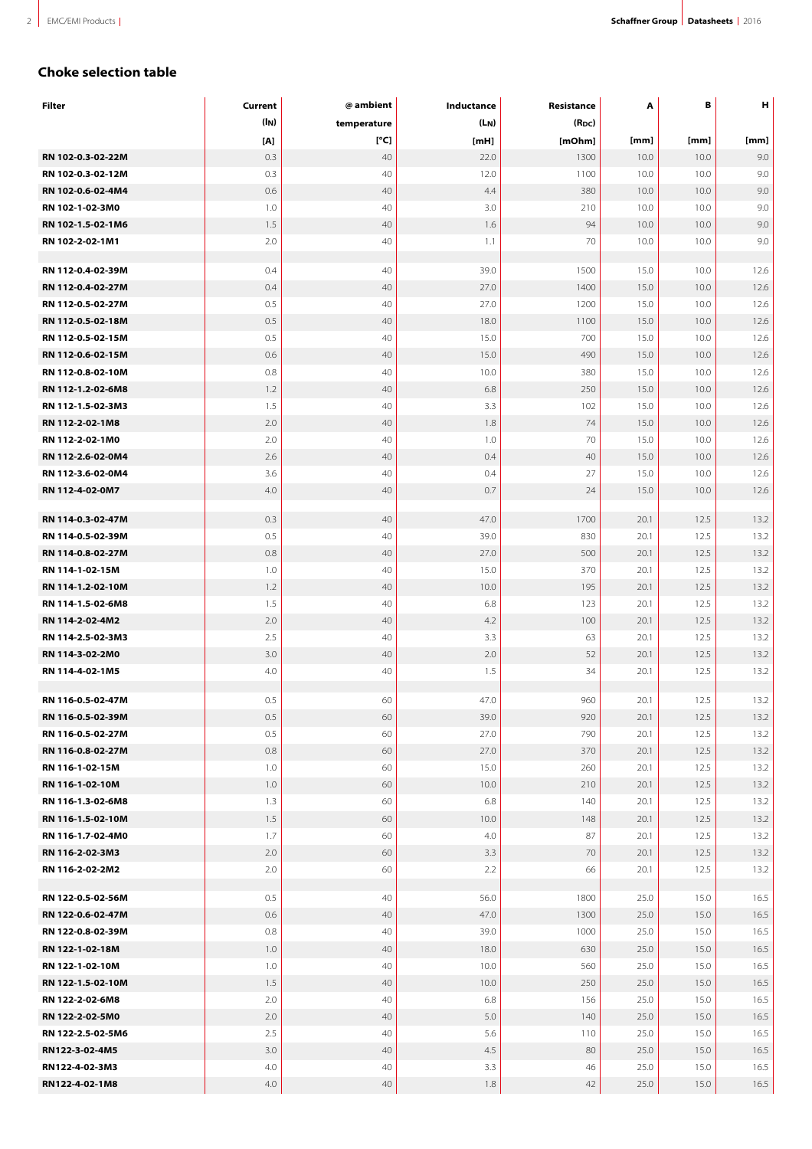# **Choke selection table**

| Filter            | Current           | @ ambient   | Inductance    | Resistance | A    | В    | н    |
|-------------------|-------------------|-------------|---------------|------------|------|------|------|
|                   | (l <sub>N</sub> ) | temperature | $(L_N)$       | $(R_{DC})$ |      |      |      |
|                   | [A]               | [°C]        | [ <b>mH</b> ] | [mOhm]     | [mm] | [mm] | [mm] |
| RN 102-0.3-02-22M | 0.3               | 40          | 22.0          | 1300       | 10.0 | 10.0 | 9.0  |
| RN 102-0.3-02-12M | 0.3               | 40          | 12.0          | 1100       | 10.0 | 10.0 | 9.0  |
| RN 102-0.6-02-4M4 | 0.6               | 40          | 4.4           | 380        | 10.0 | 10.0 | 9.0  |
| RN 102-1-02-3M0   | 1.0               | 40          | 3.0           | 210        | 10.0 | 10.0 | 9.0  |
| RN 102-1.5-02-1M6 | 1.5               | 40          | 1.6           | 94         | 10.0 | 10.0 | 9.0  |
| RN 102-2-02-1M1   | 2.0               | 40          | 1.1           | 70         | 10.0 | 10.0 | 9.0  |
|                   |                   |             |               |            |      |      |      |
| RN 112-0.4-02-39M | 0.4               | 40          | 39.0          | 1500       | 15.0 | 10.0 | 12.6 |
| RN 112-0.4-02-27M | 0.4               | 40          | 27.0          | 1400       | 15.0 | 10.0 | 12.6 |
| RN 112-0.5-02-27M | 0.5               | 40          | 27.0          | 1200       | 15.0 | 10.0 | 12.6 |
| RN 112-0.5-02-18M | 0.5               | 40          | 18.0          | 1100       | 15.0 | 10.0 | 12.6 |
| RN 112-0.5-02-15M | 0.5               | 40          | 15.0          | 700        | 15.0 | 10.0 | 12.6 |
| RN 112-0.6-02-15M | 0.6               | 40          | 15.0          | 490        | 15.0 | 10.0 | 12.6 |
| RN 112-0.8-02-10M | 0.8               | 40          | 10.0          | 380        | 15.0 | 10.0 | 12.6 |
| RN 112-1.2-02-6M8 | 1.2               | 40          | 6.8           | 250        | 15.0 | 10.0 | 12.6 |
| RN 112-1.5-02-3M3 | 1.5               | 40          | 3.3           | 102        | 15.0 | 10.0 | 12.6 |
| RN 112-2-02-1M8   | 2.0               | 40          | 1.8           | 74         | 15.0 | 10.0 | 12.6 |
| RN 112-2-02-1M0   | 2.0               | 40          | 1.0           | 70         | 15.0 | 10.0 | 12.6 |
| RN 112-2.6-02-0M4 | 2.6               | 40          | 0.4           | 40         | 15.0 | 10.0 | 12.6 |
| RN 112-3.6-02-0M4 | 3.6               | 40          | 0.4           | 27         | 15.0 | 10.0 | 12.6 |
| RN 112-4-02-0M7   | 4.0               | 40          | 0.7           | 24         | 15.0 | 10.0 | 12.6 |
|                   |                   |             |               |            |      |      |      |
| RN 114-0.3-02-47M | 0.3               | 40          | 47.0          | 1700       | 20.1 | 12.5 | 13.2 |
| RN 114-0.5-02-39M | 0.5               | 40          | 39.0          | 830        | 20.1 | 12.5 | 13.2 |
| RN 114-0.8-02-27M | 0.8               | 40          | 27.0          | 500        | 20.1 | 12.5 | 13.2 |
| RN 114-1-02-15M   | 1.0               | 40          | 15.0          | 370        | 20.1 | 12.5 | 13.2 |
| RN 114-1.2-02-10M | 1.2               | 40          | 10.0          | 195        | 20.1 | 12.5 | 13.2 |
| RN 114-1.5-02-6M8 | 1.5               | 40          | 6.8           | 123        | 20.1 | 12.5 | 13.2 |
| RN 114-2-02-4M2   | 2.0               | 40          | 4.2           | 100        | 20.1 | 12.5 | 13.2 |
| RN 114-2.5-02-3M3 | 2.5               | 40          | 3.3           | 63         | 20.1 | 12.5 | 13.2 |
| RN 114-3-02-2M0   | 3.0               | 40          | 2.0           | 52         | 20.1 | 12.5 | 13.2 |
| RN 114-4-02-1M5   | 4.0               | 40          | 1.5           | 34         | 20.1 | 12.5 | 13.2 |
|                   |                   |             |               |            |      |      |      |
| RN 116-0.5-02-47M | 0.5               | 60          | 47.0          | 960        | 20.1 | 12.5 | 13.2 |
| RN 116-0.5-02-39M | 0.5               | 60          | 39.0          | 920        | 20.1 | 12.5 | 13.2 |
| RN 116-0.5-02-27M | 0.5               | 60          | 27.0          | 790        | 20.1 | 12.5 | 13.2 |
| RN 116-0.8-02-27M | 0.8               | 60          | 27.0          | 370        | 20.1 | 12.5 | 13.2 |
| RN 116-1-02-15M   | 1.0               | 60          | 15.0          | 260        | 20.1 | 12.5 | 13.2 |
| RN 116-1-02-10M   | 1.0               | 60          | 10.0          | 210        | 20.1 | 12.5 | 13.2 |
| RN 116-1.3-02-6M8 | 1.3               | 60          | 6.8           | 140        | 20.1 | 12.5 | 13.2 |
| RN 116-1.5-02-10M | 1.5               | 60          | 10.0          | 148        | 20.1 | 12.5 | 13.2 |
| RN 116-1.7-02-4M0 | 1.7               | 60          | 4.0           | 87         | 20.1 | 12.5 | 13.2 |
| RN 116-2-02-3M3   | 2.0               | 60          | 3.3           | 70         | 20.1 | 12.5 | 13.2 |
| RN 116-2-02-2M2   | 2.0               | 60          | 2.2           | 66         | 20.1 | 12.5 | 13.2 |
| RN 122-0.5-02-56M | 0.5               | 40          | 56.0          | 1800       | 25.0 | 15.0 | 16.5 |
| RN 122-0.6-02-47M | 0.6               | 40          | 47.0          | 1300       | 25.0 | 15.0 | 16.5 |
| RN 122-0.8-02-39M | 0.8               | 40          | 39.0          | 1000       | 25.0 | 15.0 | 16.5 |
| RN 122-1-02-18M   | 1.0               | 40          | 18.0          | 630        | 25.0 | 15.0 | 16.5 |
| RN 122-1-02-10M   | 1.0               | 40          | 10.0          | 560        | 25.0 | 15.0 | 16.5 |
| RN 122-1.5-02-10M | 1.5               | 40          | 10.0          | 250        | 25.0 | 15.0 | 16.5 |
| RN 122-2-02-6M8   | 2.0               | 40          | 6.8           | 156        | 25.0 | 15.0 | 16.5 |
| RN 122-2-02-5M0   | 2.0               | 40          | 5.0           | 140        | 25.0 | 15.0 | 16.5 |
|                   | 2.5               | 40          | 5.6           |            |      |      | 16.5 |
| RN 122-2.5-02-5M6 |                   |             |               | 110        | 25.0 | 15.0 |      |
| RN122-3-02-4M5    | 3.0               | 40          | 4.5           | 80         | 25.0 | 15.0 | 16.5 |
| RN122-4-02-3M3    | 4.0               | 40          | 3.3           | 46         | 25.0 | 15.0 | 16.5 |
| RN122-4-02-1M8    | 4.0               | 40          | 1.8           | 42         | 25.0 | 15.0 | 16.5 |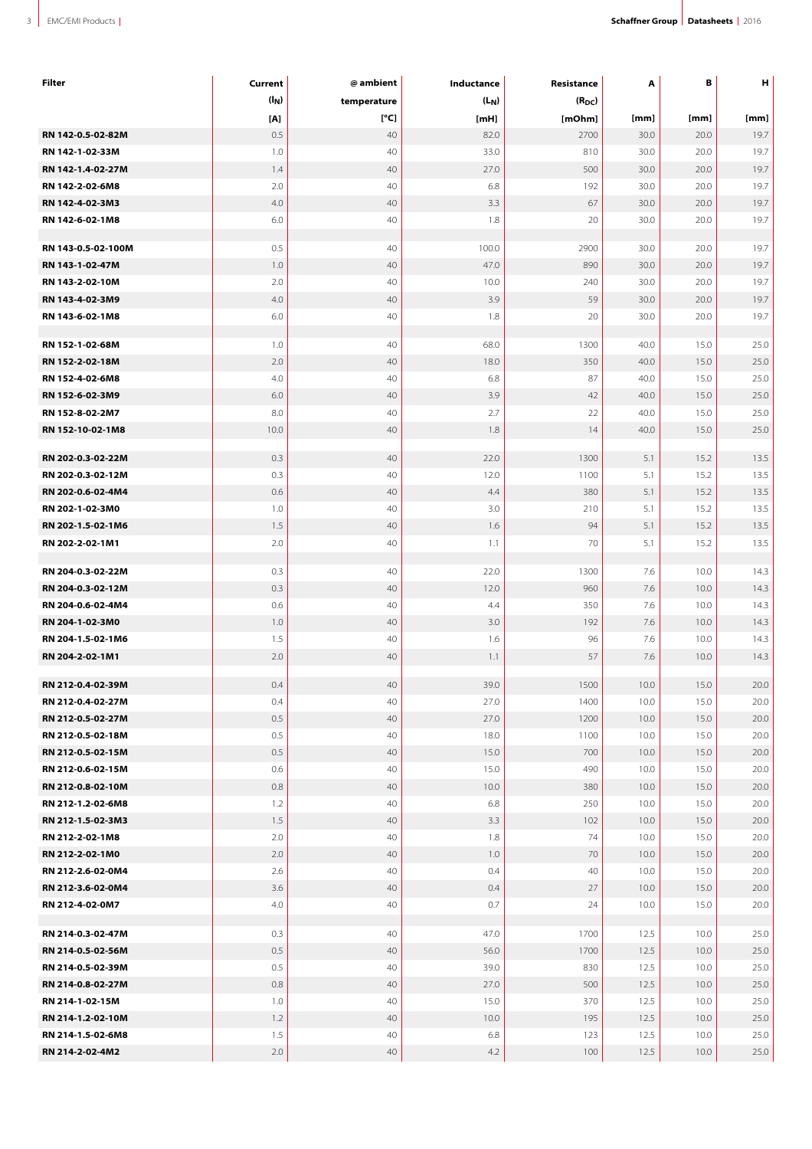| Filter             | Current           | @ ambient   | Inductance | Resistance | Α    | в    | н    |
|--------------------|-------------------|-------------|------------|------------|------|------|------|
|                    | (I <sub>N</sub> ) | temperature | $(L_N)$    | $(R_{DC})$ |      |      |      |
|                    | [A]               | [°C]        | [mH]       | [mOhm]     | [mm] | [mm] | [mm] |
| RN 142-0.5-02-82M  | 0.5               | 40          | 82.0       | 2700       | 30.0 | 20.0 | 19.7 |
| RN 142-1-02-33M    | 1.0               | 40          | 33.0       | 810        | 30.0 | 20.0 | 19.7 |
| RN 142-1.4-02-27M  | 1.4               | 40          | 27.0       | 500        | 30.0 | 20.0 | 19.7 |
| RN 142-2-02-6M8    | 2.0               | 40          | 6.8        | 192        | 30.0 | 20.0 | 19.7 |
| RN 142-4-02-3M3    | 4.0               | 40          | 3.3        | 67         | 30.0 | 20.0 | 19.7 |
| RN 142-6-02-1M8    | 6.0               | 40          | 1.8        | 20         | 30.0 | 20.0 | 19.7 |
|                    |                   |             |            |            |      |      |      |
| RN 143-0.5-02-100M | 0.5               | 40          | 100.0      | 2900       | 30.0 | 20.0 | 19.7 |
| RN 143-1-02-47M    | 1.0               | 40          | 47.0       | 890        | 30.0 | 20.0 | 19.7 |
| RN 143-2-02-10M    | 2.0               | 40          | 10.0       | 240        | 30.0 | 20.0 | 19.7 |
| RN 143-4-02-3M9    | 4.0               | 40          | 3.9        | 59         | 30.0 | 20.0 | 19.7 |
| RN 143-6-02-1M8    | 6.0               | 40          | 1.8        | 20         | 30.0 | 20.0 | 19.7 |
|                    |                   |             |            |            |      |      |      |
| RN 152-1-02-68M    | 1.0               | 40          | 68.0       | 1300       | 40.0 | 15.0 | 25.0 |
| RN 152-2-02-18M    | 2.0               | 40          | 18.0       | 350        | 40.0 | 15.0 | 25.0 |
| RN 152-4-02-6M8    | 4.0               | 40          | 6.8        | 87         | 40.0 | 15.0 | 25.0 |
| RN 152-6-02-3M9    | 6.0               | 40          | 3.9        | 42         | 40.0 | 15.0 | 25.0 |
| RN 152-8-02-2M7    | 8.0               | 40          | 2.7        | 22         | 40.0 | 15.0 | 25.0 |
| RN 152-10-02-1M8   | 10.0              | 40          | 1.8        | 14         | 40.0 | 15.0 | 25.0 |
|                    |                   |             |            |            |      |      |      |
| RN 202-0.3-02-22M  | 0.3               | 40          | 22.0       | 1300       | 5.1  | 15.2 | 13.5 |
| RN 202-0.3-02-12M  | 0.3               | 40          | 12.0       | 1100       | 5.1  | 15.2 | 13.5 |
| RN 202-0.6-02-4M4  | 0.6               | 40          | 4.4        | 380        | 5.1  | 15.2 | 13.5 |
| RN 202-1-02-3M0    | 1.0               | 40          | 3.0        | 210        | 5.1  | 15.2 | 13.5 |
| RN 202-1.5-02-1M6  | 1.5               | 40          | 1.6        | 94         | 5.1  | 15.2 | 13.5 |
| RN 202-2-02-1M1    | 2.0               | 40          | 1.1        | 70         | 5.1  | 15.2 | 13.5 |
|                    |                   |             |            |            |      |      |      |
| RN 204-0.3-02-22M  | 0.3               | 40          | 22.0       | 1300       | 7.6  | 10.0 | 14.3 |
| RN 204-0.3-02-12M  | 0.3               | 40          | 12.0       | 960        | 7.6  | 10.0 | 14.3 |
| RN 204-0.6-02-4M4  | 0.6               | 40          | 4.4        | 350        | 7.6  | 10.0 | 14.3 |
| RN 204-1-02-3M0    | 1.0               | 40          | 3.0        | 192        | 7.6  | 10.0 | 14.3 |
| RN 204-1.5-02-1M6  | 1.5               | 40          | 1.6        | 96         | 7.6  | 10.0 | 14.3 |
| RN 204-2-02-1M1    | 2.0               | 40          | 1.1        | 57         | 7.6  | 10.0 | 14.3 |
| RN 212-0.4-02-39M  | 0.4               | 40          | 39.0       | 1500       | 10.0 | 15.0 | 20.0 |
| RN 212-0.4-02-27M  | 0.4               | 40          | 27.0       | 1400       | 10.0 | 15.0 | 20.0 |
| RN 212-0.5-02-27M  | 0.5               | 40          | 27.0       | 1200       | 10.0 | 15.0 | 20.0 |
| RN 212-0.5-02-18M  | 0.5               | 40          | 18.0       | 1100       | 10.0 | 15.0 | 20.0 |
| RN 212-0.5-02-15M  | 0.5               | 40          | 15.0       | 700        | 10.0 | 15.0 | 20.0 |
| RN 212-0.6-02-15M  | 0.6               | 40          | 15.0       | 490        | 10.0 | 15.0 | 20.0 |
| RN 212-0.8-02-10M  | 0.8               | 40          | 10.0       | 380        | 10.0 | 15.0 | 20.0 |
| RN 212-1.2-02-6M8  | 1.2               | 40          | 6.8        | 250        | 10.0 | 15.0 | 20.0 |
| RN 212-1.5-02-3M3  | 1.5               | 40          |            |            |      | 15.0 |      |
|                    |                   |             | 3.3        | 102        | 10.0 |      | 20.0 |
| RN 212-2-02-1M8    | 2.0               | 40          | 1.8        | 74         | 10.0 | 15.0 | 20.0 |
| RN 212-2-02-1M0    | 2.0               | 40          | 1.0        | 70         | 10.0 | 15.0 | 20.0 |
| RN 212-2.6-02-0M4  | 2.6               | 40          | 0.4        | 40         | 10.0 | 15.0 | 20.0 |
| RN 212-3.6-02-0M4  | 3.6               | 40          | 0.4        | 27         | 10.0 | 15.0 | 20.0 |
| RN 212-4-02-0M7    | 4.0               | 40          | 0.7        | 24         | 10.0 | 15.0 | 20.0 |
| RN 214-0.3-02-47M  | 0.3               | 40          | 47.0       | 1700       | 12.5 | 10.0 | 25.0 |
| RN 214-0.5-02-56M  | 0.5               | 40          | 56.0       | 1700       | 12.5 | 10.0 | 25.0 |
| RN 214-0.5-02-39M  | 0.5               | 40          | 39.0       | 830        | 12.5 | 10.0 | 25.0 |
| RN 214-0.8-02-27M  | 0.8               | 40          | 27.0       | 500        | 12.5 | 10.0 | 25.0 |
|                    |                   |             |            |            |      |      |      |
| RN 214-1-02-15M    | 1.0               | 40          | 15.0       | 370        | 12.5 | 10.0 | 25.0 |
| RN 214-1.2-02-10M  | 1.2               | 40          | 10.0       | 195        | 12.5 | 10.0 | 25.0 |
| RN 214-1.5-02-6M8  | 1.5               | 40          | 6.8        | 123        | 12.5 | 10.0 | 25.0 |
| RN 214-2-02-4M2    | $2.0\,$           | 40          | 4.2        | 100        | 12.5 | 10.0 | 25.0 |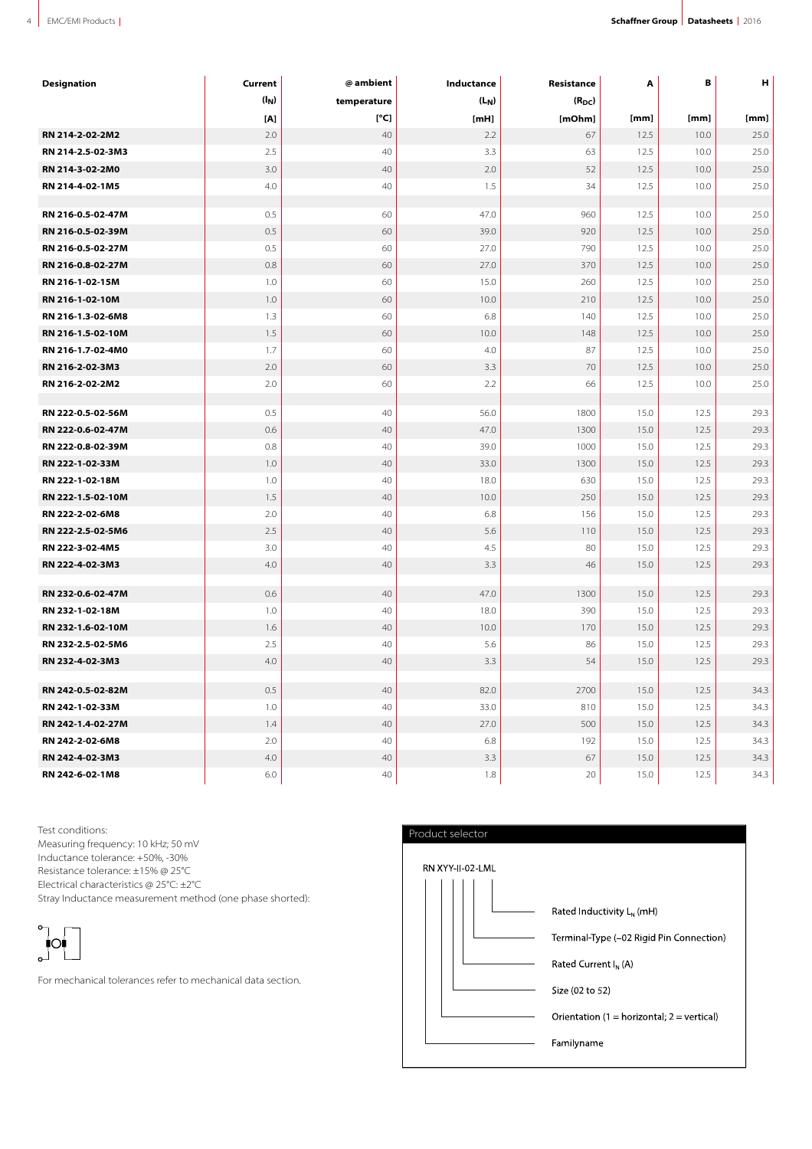| <b>Designation</b> | Current           | @ ambient   | Inductance    | Resistance | A    | В    | н    |
|--------------------|-------------------|-------------|---------------|------------|------|------|------|
|                    | (I <sub>N</sub> ) | temperature | $(L_N)$       | $(R_{DC})$ |      |      |      |
|                    | [A]               | [°C]        | [ <b>mH</b> ] | [mOhm]     | [mm] | [mm] | [mm] |
| RN 214-2-02-2M2    | 2.0               | 40          | 2.2           | 67         | 12.5 | 10.0 | 25.0 |
| RN 214-2.5-02-3M3  | 2.5               | 40          | 3.3           | 63         | 12.5 | 10.0 | 25.0 |
| RN 214-3-02-2M0    | 3.0               | 40          | 2.0           | 52         | 12.5 | 10.0 | 25.0 |
| RN 214-4-02-1M5    | 4.0               | 40          | 1.5           | 34         | 12.5 | 10.0 | 25.0 |
| RN 216-0.5-02-47M  | 0.5               | 60          | 47.0          | 960        | 12.5 | 10.0 | 25.0 |
| RN 216-0.5-02-39M  | 0.5               | 60          | 39.0          | 920        | 12.5 | 10.0 | 25.0 |
| RN 216-0.5-02-27M  | 0.5               | 60          | 27.0          | 790        | 12.5 | 10.0 | 25.0 |
| RN 216-0.8-02-27M  | 0.8               | 60          | 27.0          | 370        | 12.5 | 10.0 | 25.0 |
| RN 216-1-02-15M    | 1.0               | 60          | 15.0          | 260        | 12.5 | 10.0 | 25.0 |
| RN 216-1-02-10M    | 1.0               | 60          | 10.0          | 210        | 12.5 | 10.0 | 25.0 |
| RN 216-1.3-02-6M8  | 1.3               | 60          | 6.8           | 140        | 12.5 | 10.0 | 25.0 |
| RN 216-1.5-02-10M  | 1.5               | 60          | 10.0          | 148        | 12.5 | 10.0 | 25.0 |
| RN 216-1.7-02-4M0  | 1.7               | 60          | 4.0           | 87         | 12.5 | 10.0 | 25.0 |
| RN 216-2-02-3M3    | 2.0               | 60          | 3.3           | 70         | 12.5 | 10.0 | 25.0 |
| RN 216-2-02-2M2    | 2.0               | 60          | 2.2           | 66         | 12.5 | 10.0 | 25.0 |
| RN 222-0.5-02-56M  | 0.5               | 40          | 56.0          | 1800       | 15.0 | 12.5 | 29.3 |
| RN 222-0.6-02-47M  | 0.6               | 40          | 47.0          | 1300       | 15.0 | 12.5 | 29.3 |
| RN 222-0.8-02-39M  | 0.8               | 40          | 39.0          | 1000       | 15.0 | 12.5 | 29.3 |
| RN 222-1-02-33M    | 1.0               | 40          | 33.0          | 1300       | 15.0 | 12.5 | 29.3 |
| RN 222-1-02-18M    | 1.0               | 40          | 18.0          | 630        | 15.0 | 12.5 | 29.3 |
| RN 222-1.5-02-10M  | 1.5               | 40          | 10.0          | 250        | 15.0 | 12.5 | 29.3 |
| RN 222-2-02-6M8    | 2.0               | 40          | 6.8           | 156        | 15.0 | 12.5 | 29.3 |
| RN 222-2.5-02-5M6  | 2.5               | 40          | 5.6           | 110        | 15.0 | 12.5 | 29.3 |
| RN 222-3-02-4M5    | 3.0               | 40          | 4.5           | 80         | 15.0 | 12.5 | 29.3 |
| RN 222-4-02-3M3    | 4.0               | 40          | 3.3           | 46         | 15.0 | 12.5 | 29.3 |
| RN 232-0.6-02-47M  | 0.6               | 40          | 47.0          | 1300       | 15.0 | 12.5 | 29.3 |
| RN 232-1-02-18M    | 1.0               | 40          | 18.0          | 390        | 15.0 | 12.5 | 29.3 |
| RN 232-1.6-02-10M  | 1.6               | 40          | 10.0          | 170        | 15.0 | 12.5 | 29.3 |
| RN 232-2.5-02-5M6  | 2.5               | 40          | 5.6           | 86         | 15.0 | 12.5 | 29.3 |
| RN 232-4-02-3M3    | 4.0               | 40          | 3.3           | 54         | 15.0 | 12.5 | 29.3 |
| RN 242-0.5-02-82M  | 0.5               | 40          | 82.0          | 2700       | 15.0 | 12.5 | 34.3 |
| RN 242-1-02-33M    | 1.0               | 40          | 33.0          | 810        | 15.0 | 12.5 | 34.3 |
| RN 242-1.4-02-27M  | 1.4               | 40          | 27.0          | 500        | 15.0 | 12.5 | 34.3 |
| RN 242-2-02-6M8    | 2.0               | 40          | 6.8           | 192        | 15.0 | 12.5 | 34.3 |
| RN 242-4-02-3M3    | 4.0               | 40          | 3.3           | 67         | 15.0 | 12.5 | 34.3 |
| RN 242-6-02-1M8    | 6.0               | 40          | 1.8           | 20         | 15.0 | 12.5 | 34.3 |

Test conditions:

Measuring frequency: 10 kHz; 50 mV Inductance tolerance: +50%, -30% Resistance tolerance: ±15% @ 25°C Electrical characteristics @ 25°C: ±2°C Stray Inductance measurement method (one phase shorted):



For mechanical tolerances refer to mechanical data section.

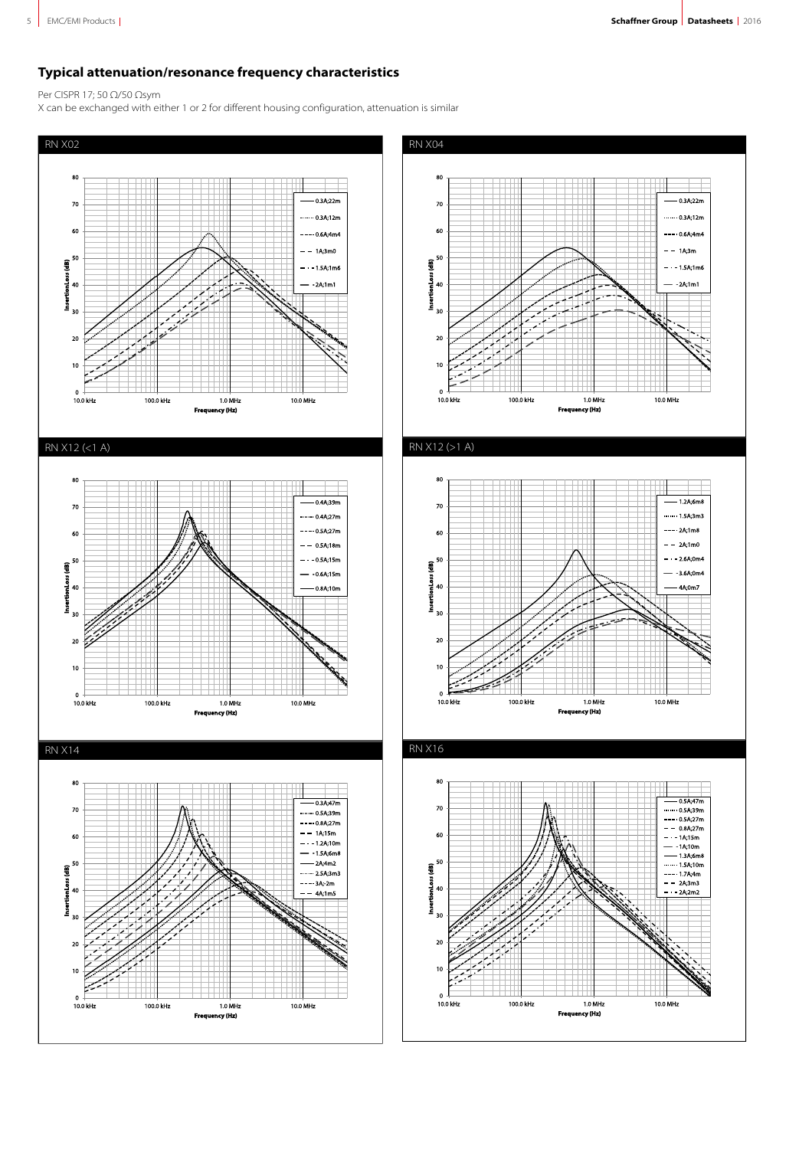# **Typical attenuation/resonance frequency characteristics**

Per CISPR 17; 50 Ω/50 Ωsym

X can be exchanged with either 1 or 2 for different housing configuration, attenuation is similar

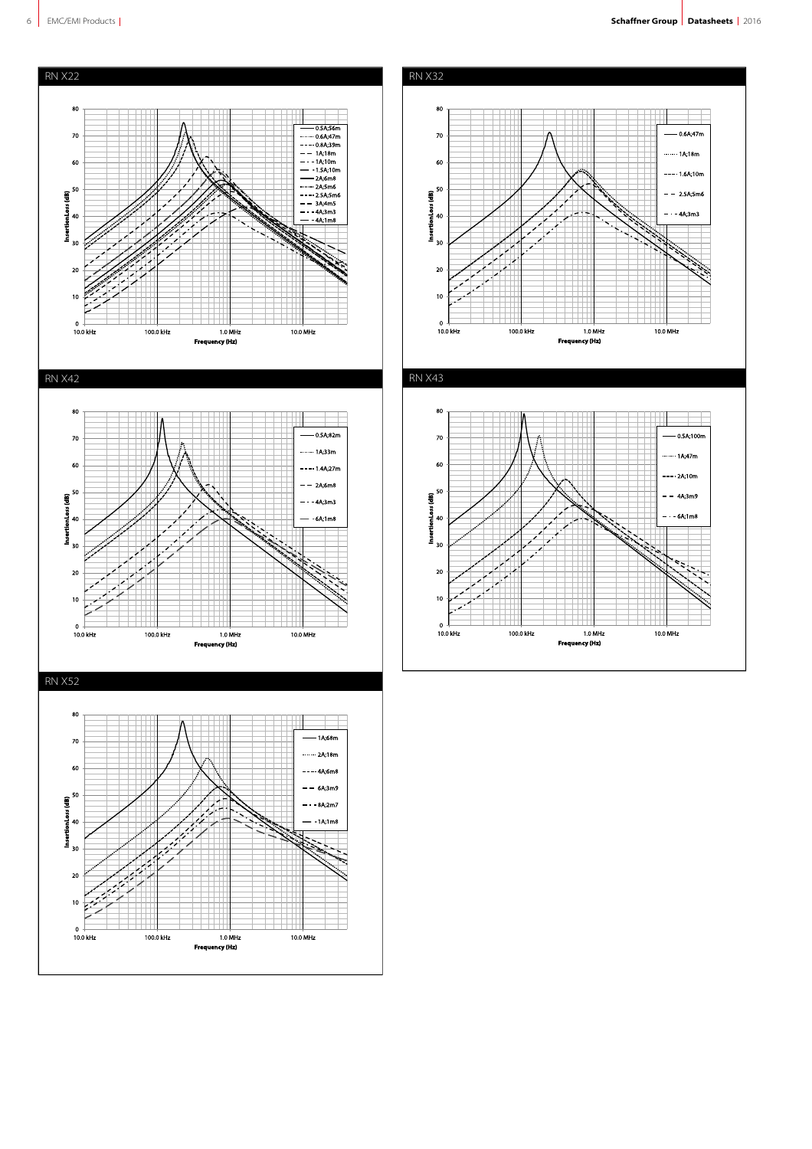



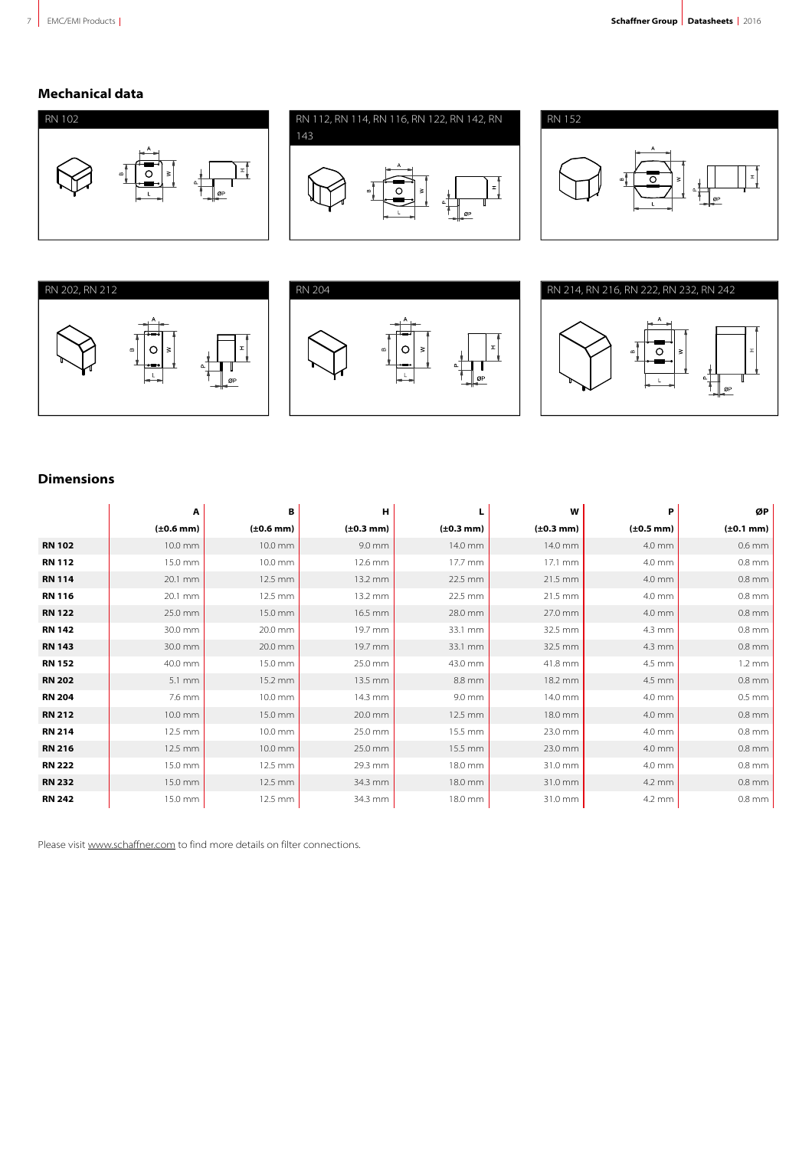# **Mechanical data**













# **Dimensions**

|               | А                  | В              | н                      |                        | W                      | P              | ØP               |
|---------------|--------------------|----------------|------------------------|------------------------|------------------------|----------------|------------------|
|               | $(\pm 0.6$ mm)     | $(\pm 0.6$ mm) | $(\pm 0.3 \text{ mm})$ | $(\pm 0.3 \text{ mm})$ | $(\pm 0.3 \text{ mm})$ | $(\pm 0.5$ mm) | $(\pm 0.1$ mm)   |
| <b>RN 102</b> | 10.0 mm            | 10.0 mm        | 9.0 mm                 | 14.0 mm                | 14.0 mm                | 4.0 mm         | $0.6$ mm         |
| <b>RN 112</b> | 15.0 mm            | 10.0 mm        | 12.6 mm                | 17.7 mm                | 17.1 mm                | 4.0 mm         | $0.8$ mm         |
| <b>RN 114</b> | 20.1 mm            | 12.5 mm        | 13.2 mm                | 22.5 mm                | 21.5 mm                | 4.0 mm         | $0.8$ mm         |
| <b>RN 116</b> | 20.1 mm            | 12.5 mm        | 13.2 mm                | 22.5 mm                | 21.5 mm                | 4.0 mm         | $0.8$ mm         |
| <b>RN 122</b> | 25.0 mm            | 15.0 mm        | 16.5 mm                | 28.0 mm                | 27.0 mm                | 4.0 mm         | $0.8$ mm         |
| <b>RN 142</b> | 30.0 mm            | 20.0 mm        | 19.7 mm                | 33.1 mm                | 32.5 mm                | 4.3 mm         | $0.8$ mm         |
| <b>RN 143</b> | 30.0 mm            | 20.0 mm        | 19.7 mm                | 33.1 mm                | 32.5 mm                | 4.3 mm         | $0.8$ mm         |
| <b>RN 152</b> | 40.0 mm            | 15.0 mm        | 25.0 mm                | 43.0 mm                | 41.8 mm                | 4.5 mm         | $1.2 \text{ mm}$ |
| <b>RN 202</b> | $5.1 \, \text{mm}$ | 15.2 mm        | 13.5 mm                | 8.8 mm                 | 18.2 mm                | 4.5 mm         | $0.8$ mm         |
| <b>RN 204</b> | 7.6 mm             | 10.0 mm        | 14.3 mm                | 9.0 mm                 | 14.0 mm                | 4.0 mm         | $0.5$ mm         |
| <b>RN 212</b> | 10.0 mm            | 15.0 mm        | 20.0 mm                | 12.5 mm                | 18.0 mm                | 4.0 mm         | $0.8$ mm         |
| <b>RN 214</b> | 12.5 mm            | 10.0 mm        | 25.0 mm                | 15.5 mm                | 23.0 mm                | 4.0 mm         | $0.8$ mm         |
| <b>RN 216</b> | 12.5 mm            | 10.0 mm        | 25.0 mm                | 15.5 mm                | 23.0 mm                | 4.0 mm         | $0.8$ mm         |
| <b>RN 222</b> | 15.0 mm            | 12.5 mm        | 29.3 mm                | 18.0 mm                | 31.0 mm                | 4.0 mm         | $0.8$ mm         |
| <b>RN 232</b> | 15.0 mm            | 12.5 mm        | 34.3 mm                | 18.0 mm                | 31.0 mm                | 4.2 mm         | $0.8$ mm         |
| <b>RN 242</b> | 15.0 mm            | 12.5 mm        | 34.3 mm                | 18.0 mm                | 31.0 mm                | 4.2 mm         | $0.8$ mm         |

Please visit [www.schaffner.com](http://www.schaffner.com) to find more details on filter connections.